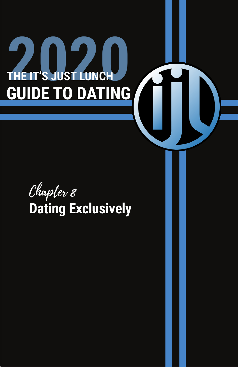## -You respect, admire, and appreciate each other. -One of you makes all the effort to make plans. **GUIDE TO DATING** -S/he breaks dates often or cancels at the last minute. THE IT'S JUST LUNCH

doesn't show up at all.

-S/he doesn't call when s/he says s/he will, is frequently late or

-S/he answers every cell phone call, regardless of where you are. -S/he prefers spending time with his or her friends than with you -His or her eyes are wandering around the room checking out

-S/he has controlling behavior, is angry or jealous and wants

-S/he is a loner and has no one in his or her life but you.

up and the signs to watch for on the road to a successful

Wow, we've covered a lot in this chapter  $\mathcal{C}$ keep your dating journey fun and interesting, some of the dilemmas you might face along the way, the stages of hooking

You're fully armed with everything you need to do some honest evaluation of the whole experience and decide if you want to continue building this new relationship. The next step? Dating

life.

 $\mathcal{L}_{\text{c}}$ compulsive spender and blows large sums of money frequently. Chapter 8

-S/he is dishonest or is reluctant to open up about past **Dating Exclusively**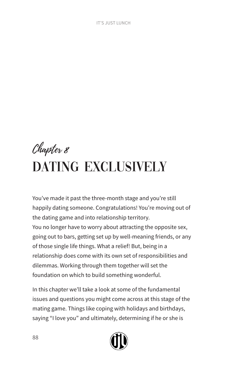# Chapter 8 DATING EXCLUSIVELY

You've made it past the three-month stage and you're still happily dating someone. Congratulations! You're moving out of the dating game and into relationship territory. You no longer have to worry about attracting the opposite sex, going out to bars, getting set up by well-meaning friends, or any of those single life things. What a relief! But, being in a relationship does come with its own set of responsibilities and dilemmas. Working through them together will set the foundation on which to build something wonderful.

In this chapter we'll take a look at some of the fundamental issues and questions you might come across at this stage of the mating game. Things like coping with holidays and birthdays, saying "I love you" and ultimately, determining if he or she is

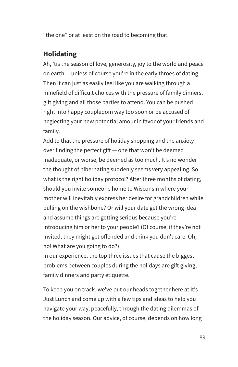"the one" or at least on the road to becoming that.

## **Holidating**

Ah, 'tis the season of love, generosity, joy to the world and peace on earth… unless of course you're in the early throes of dating. Then it can just as easily feel like you are walking through a minefield of difficult choices with the pressure of family dinners, gift giving and all those parties to attend. You can be pushed right into happy coupledom way too soon or be accused of neglecting your new potential amour in favor of your friends and family.

Add to that the pressure of holiday shopping and the anxiety over finding the perfect gift — one that won't be deemed inadequate, or worse, be deemed as too much. It's no wonder the thought of hibernating suddenly seems very appealing. So what is the right holiday protocol? After three months of dating, should you invite someone home to Wisconsin where your mother will inevitably express her desire for grandchildren while pulling on the wishbone? Or will your date get the wrong idea and assume things are getting serious because you're introducing him or her to your people? (Of course, if they're not invited, they might get offended and think you don't care. Oh, no! What are you going to do?)

In our experience, the top three issues that cause the biggest problems between couples during the holidays are gift giving, family dinners and party etiquette.

To keep you on track, we've put our heads together here at It's Just Lunch and come up with a few tips and ideas to help you navigate your way, peacefully, through the dating dilemmas of the holiday season. Our advice, of course, depends on how long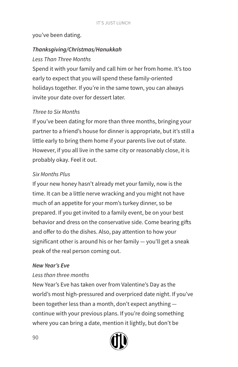#### you've been dating.

#### *Thanksgiving/Christmas/Hanukkah*

#### *Less Than Three Months*

Spend it with your family and call him or her from home. It's too early to expect that you will spend these family-oriented holidays together. If you're in the same town, you can always invite your date over for dessert later.

#### *Three to Six Months*

If you've been dating for more than three months, bringing your partner to a friend's house for dinner is appropriate, but it's still a little early to bring them home if your parents live out of state. However, if you all live in the same city or reasonably close, it is probably okay. Feel it out.

#### *Six Months Plus*

If your new honey hasn't already met your family, now is the time. It can be a little nerve wracking and you might not have much of an appetite for your mom's turkey dinner, so be prepared. If you get invited to a family event, be on your best behavior and dress on the conservative side. Come bearing gifts and offer to do the dishes. Also, pay attention to how your significant other is around his or her family — you'll get a sneak peak of the real person coming out.

#### *New Year's Eve*

#### *Less than three months*

New Year's Eve has taken over from Valentine's Day as the world's most high-pressured and overpriced date night. If you've been together less than a month, don't expect anything continue with your previous plans. If you're doing something where you can bring a date, mention it lightly, but don't be

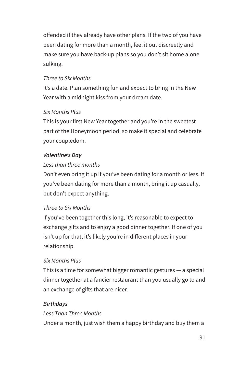offended if they already have other plans. If the two of you have been dating for more than a month, feel it out discreetly and make sure you have back-up plans so you don't sit home alone sulking.

#### *Three to Six Months*

It's a date. Plan something fun and expect to bring in the New Year with a midnight kiss from your dream date.

#### *Six Months Plus*

This is your first New Year together and you're in the sweetest part of the Honeymoon period, so make it special and celebrate your coupledom.

#### *Valentine's Day*

#### *Less than three months*

Don't even bring it up if you've been dating for a month or less. If you've been dating for more than a month, bring it up casually, but don't expect anything.

#### *Three to Six Months*

If you've been together this long, it's reasonable to expect to exchange gifts and to enjoy a good dinner together. If one of you isn't up for that, it's likely you're in different places in your relationship.

#### *Six Months Plus*

This is a time for somewhat bigger romantic gestures — a special dinner together at a fancier restaurant than you usually go to and an exchange of gifts that are nicer.

#### *Birthdays*

#### *Less Than Three Months*

Under a month, just wish them a happy birthday and buy them a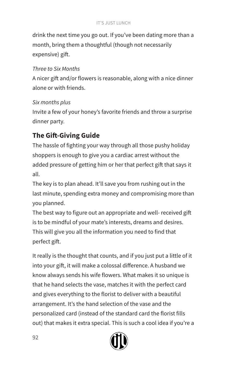drink the next time you go out. If you've been dating more than a month, bring them a thoughtful (though not necessarily expensive) gift.

#### *Three to Six Months*

A nicer gift and/or flowers is reasonable, along with a nice dinner alone or with friends.

#### *Six months plus*

Invite a few of your honey's favorite friends and throw a surprise dinner party.

## **The Gift-Giving Guide**

The hassle of fighting your way through all those pushy holiday shoppers is enough to give you a cardiac arrest without the added pressure of getting him or her that perfect gift that says it all.

The key is to plan ahead. It'll save you from rushing out in the last minute, spending extra money and compromising more than you planned.

The best way to figure out an appropriate and well- received gift is to be mindful of your mate's interests, dreams and desires. This will give you all the information you need to find that perfect gift.

It really is the thought that counts, and if you just put a little of it into your gift, it will make a colossal difference. A husband we know always sends his wife flowers. What makes it so unique is that he hand selects the vase, matches it with the perfect card and gives everything to the florist to deliver with a beautiful arrangement. It's the hand selection of the vase and the personalized card (instead of the standard card the florist fills out) that makes it extra special. This is such a cool idea if you're a

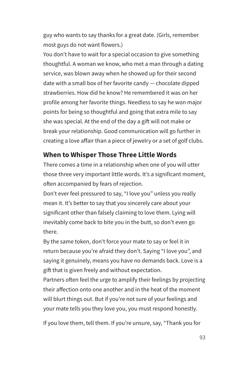guy who wants to say thanks for a great date. (Girls, remember most guys do not want flowers.)

You don't have to wait for a special occasion to give something thoughtful. A woman we know, who met a man through a dating service, was blown away when he showed up for their second date with a small box of her favorite candy — chocolate dipped strawberries. How did he know? He remembered it was on her profile among her favorite things. Needless to say he won major points for being so thoughtful and going that extra mile to say she was special. At the end of the day a gift will not make or break your relationship. Good communication will go further in creating a love affair than a piece of jewelry or a set of golf clubs.

#### **When to Whisper Those Three Little Words**

There comes a time in a relationship when one of you will utter those three very important little words. It's a significant moment, often accompanied by fears of rejection.

Don't ever feel pressured to say, "I love you" unless you really mean it. It's better to say that you sincerely care about your significant other than falsely claiming to love them. Lying will inevitably come back to bite you in the butt, so don't even go there.

By the same token, don't force your mate to say or feel it in return because you're afraid they don't. Saying "I love you", and saying it genuinely, means you have no demands back. Love is a gift that is given freely and without expectation.

Partners often feel the urge to amplify their feelings by projecting their affection onto one another and in the heat of the moment will blurt things out. But if you're not sure of your feelings and your mate tells you they love you, you must respond honestly.

If you love them, tell them. If you're unsure, say, "Thank you for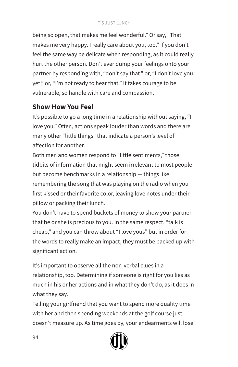#### IT'S JUST LUNCH

being so open, that makes me feel wonderful." Or say, "That makes me very happy. I really care about you, too." If you don't feel the same way be delicate when responding, as it could really hurt the other person. Don't ever dump your feelings onto your partner by responding with, "don't say that," or, "I don't love you yet," or, "I'm not ready to hear that." It takes courage to be vulnerable, so handle with care and compassion.

## **Show How You Feel**

It's possible to go a long time in a relationship without saying, "I love you." Often, actions speak louder than words and there are many other "little things" that indicate a person's level of affection for another.

Both men and women respond to "little sentiments," those tidbits of information that might seem irrelevant to most people but become benchmarks in a relationship — things like remembering the song that was playing on the radio when you first kissed or their favorite color, leaving love notes under their pillow or packing their lunch.

You don't have to spend buckets of money to show your partner that he or she is precious to you. In the same respect, "talk is cheap," and you can throw about "I love yous" but in order for the words to really make an impact, they must be backed up with significant action.

It's important to observe all the non-verbal clues in a relationship, too. Determining if someone is right for you lies as much in his or her actions and in what they don't do, as it does in what they say.

Telling your girlfriend that you want to spend more quality time with her and then spending weekends at the golf course just doesn't measure up. As time goes by, your endearments will lose

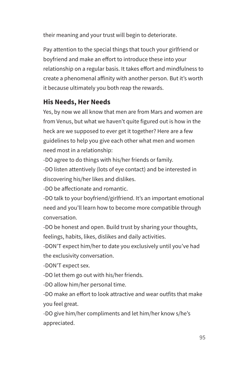their meaning and your trust will begin to deteriorate.

Pay attention to the special things that touch your girlfriend or boyfriend and make an effort to introduce these into your relationship on a regular basis. It takes effort and mindfulness to create a phenomenal affinity with another person. But it's worth it because ultimately you both reap the rewards.

## **His Needs, Her Needs**

Yes, by now we all know that men are from Mars and women are from Venus, but what we haven't quite figured out is how in the heck are we supposed to ever get it together? Here are a few guidelines to help you give each other what men and women need most in a relationship:

-DO agree to do things with his/her friends or family.

-DO listen attentively (lots of eye contact) and be interested in discovering his/her likes and dislikes.

-DO be affectionate and romantic.

-DO talk to your boyfriend/girlfriend. It's an important emotional need and you'll learn how to become more compatible through conversation.

-DO be honest and open. Build trust by sharing your thoughts, feelings, habits, likes, dislikes and daily activities.

-DON'T expect him/her to date you exclusively until you've had the exclusivity conversation.

-DON'T expect sex.

-DO let them go out with his/her friends.

-DO allow him/her personal time.

-DO make an effort to look attractive and wear outfits that make you feel great.

-DO give him/her compliments and let him/her know s/he's appreciated.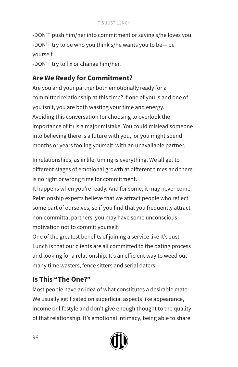#### IT'S JUST LUNCH

-DON'T push him/her into commitment or saying s/he loves you. -DON'T try to be who you think s/he wants you to be— be yourself.

-DON'T try to fix or change him/her.

## **Are We Ready for Commitment?**

Are you and your partner both emotionally ready for a committed relationship at this time? If one of you is and one of you isn't, you are both wasting your time and energy. Avoiding this conversation (or choosing to overlook the importance of it) is a major mistake. You could mislead someone into believing there is a future with you, or you might spend months or years fooling yourself with an unavailable partner.

In relationships, as in life, timing is everything. We all get to different stages of emotional growth at different times and there is no right or wrong time for commitment.

It happens when you're ready. And for some, it may never come. Relationship experts believe that we attract people who reflect some part of ourselves, so if you find that you frequently attract non-committal partners, you may have some unconscious motivation not to commit yourself.

One of the greatest benefits of joining a service like It's Just Lunch is that our clients are all committed to the dating process and looking for a relationship. It's an efficient way to weed out many time wasters, fence sitters and serial daters.

## **Is This "The One?"**

Most people have an idea of what constitutes a desirable mate. We usually get fixated on superficial aspects like appearance, income or lifestyle and don't give enough thought to the quality of that relationship. It's emotional intimacy, being able to share

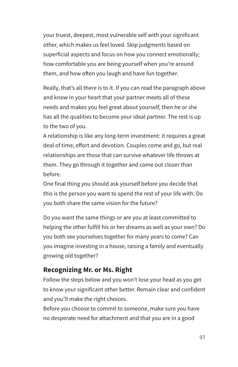your truest, deepest, most vulnerable self with your significant other, which makes us feel loved. Skip judgments based on superficial aspects and focus on how you connect emotionally; how comfortable you are being yourself when you're around them, and how often you laugh and have fun together.

Really, that's all there is to it. If you can read the paragraph above and know in your heart that your partner meets all of these needs and makes you feel great about yourself, then he or she has all the qualities to become your ideal partner. The rest is up to the two of you.

A relationship is like any long-term investment: it requires a great deal of time, effort and devotion. Couples come and go, but real relationships are those that can survive whatever life throws at them. They go through it together and come out closer than before.

One final thing you should ask yourself before you decide that this is the person you want to spend the rest of your life with: Do you both share the same vision for the future?

Do you want the same things or are you at least committed to helping the other fulfill his or her dreams as well as your own? Do you both see yourselves together for many years to come? Can you imagine investing in a house, raising a family and eventually growing old together?

### **Recognizing Mr. or Ms. Right**

Follow the steps below and you won't lose your head as you get to know your significant other better. Remain clear and confident and you'll make the right choices.

Before you choose to commit to someone, make sure you have no desperate need for attachment and that you are in a good